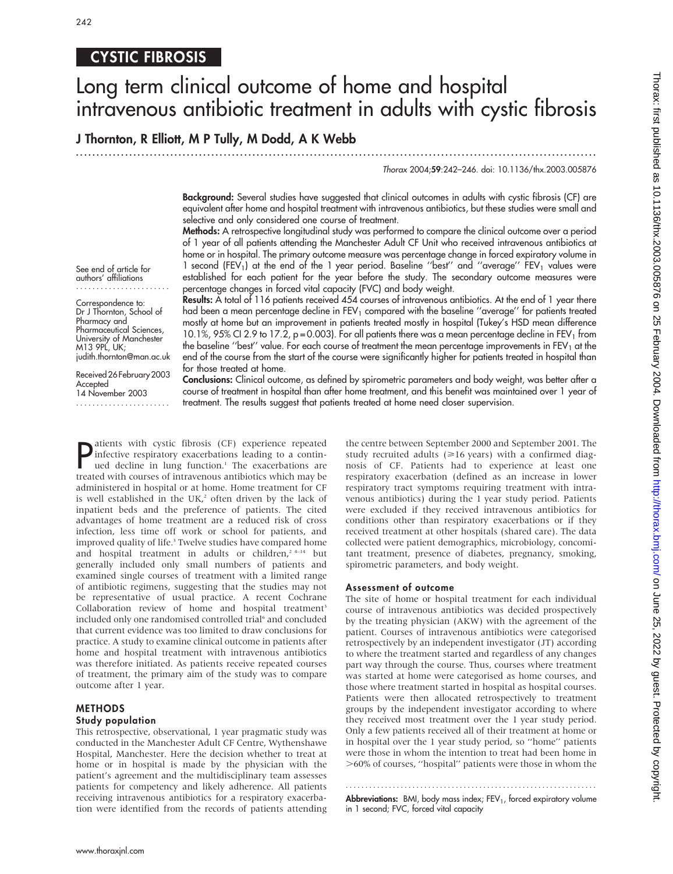# CYSTIC FIBROSIS

# Long term clinical outcome of home and hospital intravenous antibiotic treatment in adults with cystic fibrosis

# J Thornton, R Elliott, M P Tully, M Dodd, A K Webb

.............................................................................................................................. .

# Thorax 2004;59:242–246. doi: 10.1136/thx.2003.005876

Background: Several studies have suggested that clinical outcomes in adults with cystic fibrosis (CF) are equivalent after home and hospital treatment with intravenous antibiotics, but these studies were small and selective and only considered one course of treatment.

Methods: A retrospective longitudinal study was performed to compare the clinical outcome over a period of 1 year of all patients attending the Manchester Adult CF Unit who received intravenous antibiotics at home or in hospital. The primary outcome measure was percentage change in forced expiratory volume in 1 second (FEV<sub>1</sub>) at the end of the 1 year period. Baseline "best" and "average" FEV<sub>1</sub> values were established for each patient for the year before the study. The secondary outcome measures were percentage changes in forced vital capacity (FVC) and body weight. Results: A total of 116 patients received 454 courses of intravenous antibiotics. At the end of 1 year there

See end of article for authors' affiliations .......................

Correspondence to: Dr J Thornton, School of Pharmacy and Pharmaceutical Sciences, University of Manchester M13 9PL, UK; judith.thornton@man.ac.uk

Received26February2003 Accepted 14 November 2003 .......................

mostly at home but an improvement in patients treated mostly in hospital (Tukey's HSD mean difference 10.1%, 95% CI 2.9 to 17.2,  $p = 0.003$ ). For all patients there was a mean percentage decline in FEV<sub>1</sub> from the baseline "best" value. For each course of treatment the mean percentage improvements in FEV<sub>1</sub> at the end of the course from the start of the course were significantly higher for patients treated in hospital than for those treated at home. Conclusions: Clinical outcome, as defined by spirometric parameters and body weight, was better after a

had been a mean percentage decline in  $FEV<sub>1</sub>$  compared with the baseline "average" for patients treated

course of treatment in hospital than after home treatment, and this benefit was maintained over 1 year of treatment. The results suggest that patients treated at home need closer supervision.

**P** infective respiratory exacerbations leading to a contin-<br>the decline in lung function.<sup>1</sup> The exacerbations are<br>tracted with course of intravanous artibistics which may atients with cystic fibrosis (CF) experience repeated ued decline in lung function.<sup>1</sup> The exacerbations are treated with courses of intravenous antibiotics which may be administered in hospital or at home. Home treatment for CF is well established in the UK, $2$  often driven by the lack of inpatient beds and the preference of patients. The cited advantages of home treatment are a reduced risk of cross infection, less time off work or school for patients, and improved quality of life.<sup>3</sup> Twelve studies have compared home and hospital treatment in adults or children,<sup>2 4-14</sup> but generally included only small numbers of patients and examined single courses of treatment with a limited range of antibiotic regimens, suggesting that the studies may not be representative of usual practice. A recent Cochrane Collaboration review of home and hospital treatment<sup>3</sup> included only one randomised controlled trial<sup>6</sup> and concluded that current evidence was too limited to draw conclusions for practice. A study to examine clinical outcome in patients after home and hospital treatment with intravenous antibiotics was therefore initiated. As patients receive repeated courses of treatment, the primary aim of the study was to compare outcome after 1 year.

# METHODS Study population

This retrospective, observational, 1 year pragmatic study was conducted in the Manchester Adult CF Centre, Wythenshawe Hospital, Manchester. Here the decision whether to treat at home or in hospital is made by the physician with the patient's agreement and the multidisciplinary team assesses patients for competency and likely adherence. All patients receiving intravenous antibiotics for a respiratory exacerbation were identified from the records of patients attending the centre between September 2000 and September 2001. The study recruited adults  $(\geq 16 \text{ years})$  with a confirmed diagnosis of CF. Patients had to experience at least one respiratory exacerbation (defined as an increase in lower respiratory tract symptoms requiring treatment with intravenous antibiotics) during the 1 year study period. Patients were excluded if they received intravenous antibiotics for conditions other than respiratory exacerbations or if they received treatment at other hospitals (shared care). The data collected were patient demographics, microbiology, concomitant treatment, presence of diabetes, pregnancy, smoking, spirometric parameters, and body weight.

#### Assessment of outcome

The site of home or hospital treatment for each individual course of intravenous antibiotics was decided prospectively by the treating physician (AKW) with the agreement of the patient. Courses of intravenous antibiotics were categorised retrospectively by an independent investigator (JT) according to where the treatment started and regardless of any changes part way through the course. Thus, courses where treatment was started at home were categorised as home courses, and those where treatment started in hospital as hospital courses. Patients were then allocated retrospectively to treatment groups by the independent investigator according to where they received most treatment over the 1 year study period. Only a few patients received all of their treatment at home or in hospital over the 1 year study period, so ''home'' patients were those in whom the intention to treat had been home in .60% of courses, ''hospital'' patients were those in whom the

............................................................... . **Abbreviations:** BMI, body mass index;  $FEV<sub>1</sub>$ , forced expiratory volume in 1 second; FVC, forced vital capacity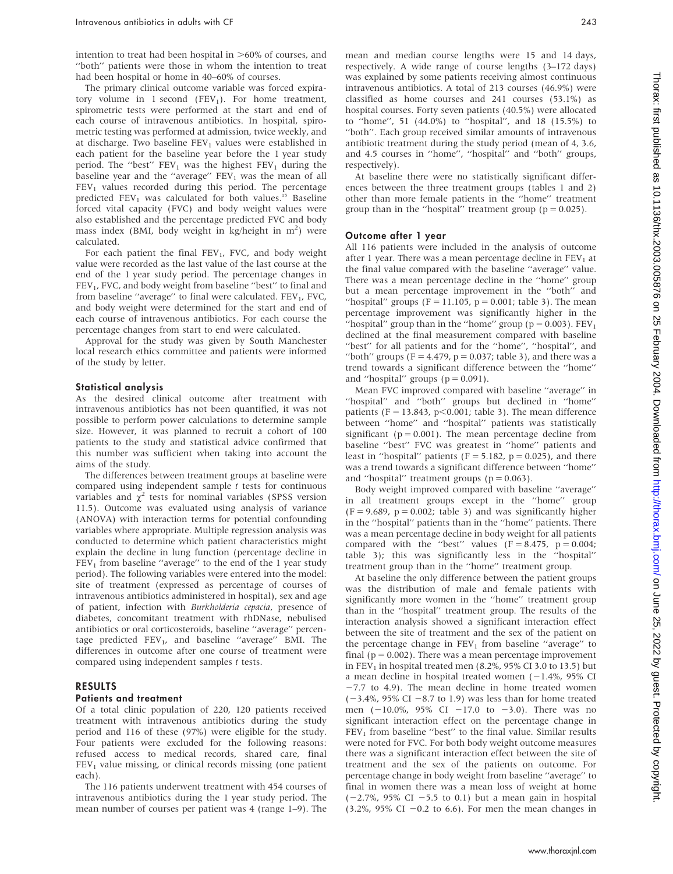intention to treat had been hospital in  $>60\%$  of courses, and ''both'' patients were those in whom the intention to treat had been hospital or home in 40–60% of courses.

The primary clinical outcome variable was forced expiratory volume in 1 second (FEV<sub>1</sub>). For home treatment, spirometric tests were performed at the start and end of each course of intravenous antibiotics. In hospital, spirometric testing was performed at admission, twice weekly, and at discharge. Two baseline  $FEV<sub>1</sub>$  values were established in each patient for the baseline year before the 1 year study period. The "best"  $FEV_1$  was the highest  $FEV_1$  during the baseline year and the "average"  $FEV<sub>1</sub>$  was the mean of all  $FEV<sub>1</sub>$  values recorded during this period. The percentage predicted  $FEV_1$  was calculated for both values.<sup>15</sup> Baseline forced vital capacity (FVC) and body weight values were also established and the percentage predicted FVC and body mass index (BMI, body weight in kg/height in  $m<sup>2</sup>$ ) were calculated.

For each patient the final  $FEV_1$ , FVC, and body weight value were recorded as the last value of the last course at the end of the 1 year study period. The percentage changes in FEV<sub>1</sub>, FVC, and body weight from baseline "best" to final and from baseline "average" to final were calculated.  $FEV<sub>1</sub>$ , FVC, and body weight were determined for the start and end of each course of intravenous antibiotics. For each course the percentage changes from start to end were calculated.

Approval for the study was given by South Manchester local research ethics committee and patients were informed of the study by letter.

#### Statistical analysis

As the desired clinical outcome after treatment with intravenous antibiotics has not been quantified, it was not possible to perform power calculations to determine sample size. However, it was planned to recruit a cohort of 100 patients to the study and statistical advice confirmed that this number was sufficient when taking into account the aims of the study.

The differences between treatment groups at baseline were compared using independent sample  $t$  tests for continuous variables and  $\chi^2$  tests for nominal variables (SPSS version 11.5). Outcome was evaluated using analysis of variance (ANOVA) with interaction terms for potential confounding variables where appropriate. Multiple regression analysis was conducted to determine which patient characteristics might explain the decline in lung function (percentage decline in  $FEV<sub>1</sub>$  from baseline "average" to the end of the 1 year study period). The following variables were entered into the model: site of treatment (expressed as percentage of courses of intravenous antibiotics administered in hospital), sex and age of patient, infection with Burkholderia cepacia, presence of diabetes, concomitant treatment with rhDNase, nebulised antibiotics or oral corticosteroids, baseline ''average'' percentage predicted  $FEV_1$ , and baseline "average" BMI. The differences in outcome after one course of treatment were compared using independent samples t tests.

## RESULTS

#### Patients and treatment

Of a total clinic population of 220, 120 patients received treatment with intravenous antibiotics during the study period and 116 of these (97%) were eligible for the study. Four patients were excluded for the following reasons: refused access to medical records, shared care, final  $FEV<sub>1</sub>$  value missing, or clinical records missing (one patient each).

The 116 patients underwent treatment with 454 courses of intravenous antibiotics during the 1 year study period. The mean number of courses per patient was 4 (range 1–9). The mean and median course lengths were 15 and 14 days, respectively. A wide range of course lengths (3–172 days) was explained by some patients receiving almost continuous intravenous antibiotics. A total of 213 courses (46.9%) were classified as home courses and 241 courses (53.1%) as hospital courses. Forty seven patients (40.5%) were allocated to ''home'', 51 (44.0%) to ''hospital'', and 18 (15.5%) to "both". Each group received similar amounts of intravenous antibiotic treatment during the study period (mean of 4, 3.6, and 4.5 courses in ''home'', ''hospital'' and ''both'' groups, respectively).

At baseline there were no statistically significant differences between the three treatment groups (tables 1 and 2) other than more female patients in the ''home'' treatment group than in the "hospital" treatment group ( $p = 0.025$ ).

#### Outcome after 1 year

All 116 patients were included in the analysis of outcome after 1 year. There was a mean percentage decline in  $FEV<sub>1</sub>$  at the final value compared with the baseline ''average'' value. There was a mean percentage decline in the ''home'' group but a mean percentage improvement in the ''both'' and "hospital" groups ( $F = 11.105$ ,  $p = 0.001$ ; table 3). The mean percentage improvement was significantly higher in the "hospital" group than in the "home" group ( $p = 0.003$ ). FEV<sub>1</sub> declined at the final measurement compared with baseline ''best'' for all patients and for the ''home'', ''hospital'', and "both" groups ( $F = 4.479$ ,  $p = 0.037$ ; table 3), and there was a trend towards a significant difference between the ''home'' and "hospital" groups  $(p = 0.091)$ .

Mean FVC improved compared with baseline ''average'' in ''hospital'' and ''both'' groups but declined in ''home'' patients (F = 13.843, p $\leq$ 0.001; table 3). The mean difference between ''home'' and ''hospital'' patients was statistically significant ( $p = 0.001$ ). The mean percentage decline from baseline ''best'' FVC was greatest in ''home'' patients and least in "hospital" patients ( $F = 5.182$ ,  $p = 0.025$ ), and there was a trend towards a significant difference between ''home'' and "hospital" treatment groups ( $p = 0.063$ ).

Body weight improved compared with baseline ''average'' in all treatment groups except in the ''home'' group  $(F = 9.689, p = 0.002$ ; table 3) and was significantly higher in the ''hospital'' patients than in the ''home'' patients. There was a mean percentage decline in body weight for all patients compared with the "best" values  $(F = 8.475, p = 0.004;$ table 3); this was significantly less in the ''hospital'' treatment group than in the ''home'' treatment group.

At baseline the only difference between the patient groups was the distribution of male and female patients with significantly more women in the ''home'' treatment group than in the ''hospital'' treatment group. The results of the interaction analysis showed a significant interaction effect between the site of treatment and the sex of the patient on the percentage change in  $FEV<sub>1</sub>$  from baseline "average" to final ( $p = 0.002$ ). There was a mean percentage improvement in FEV<sub>1</sub> in hospital treated men  $(8.2\% , 95\%$  CI 3.0 to 13.5) but a mean decline in hospital treated women  $(-1.4\% , 95\%$  CI  $-7.7$  to 4.9). The mean decline in home treated women  $(-3.4\%$ , 95% CI -8.7 to 1.9) was less than for home treated men  $(-10.0\%, 95\% \text{ CI} -17.0 \text{ to } -3.0)$ . There was no significant interaction effect on the percentage change in  $FEV<sub>1</sub>$  from baseline "best" to the final value. Similar results were noted for FVC. For both body weight outcome measures there was a significant interaction effect between the site of treatment and the sex of the patients on outcome. For percentage change in body weight from baseline ''average'' to final in women there was a mean loss of weight at home  $(-2.7\%$ , 95% CI -5.5 to 0.1) but a mean gain in hospital (3.2%, 95% CI  $-0.2$  to 6.6). For men the mean changes in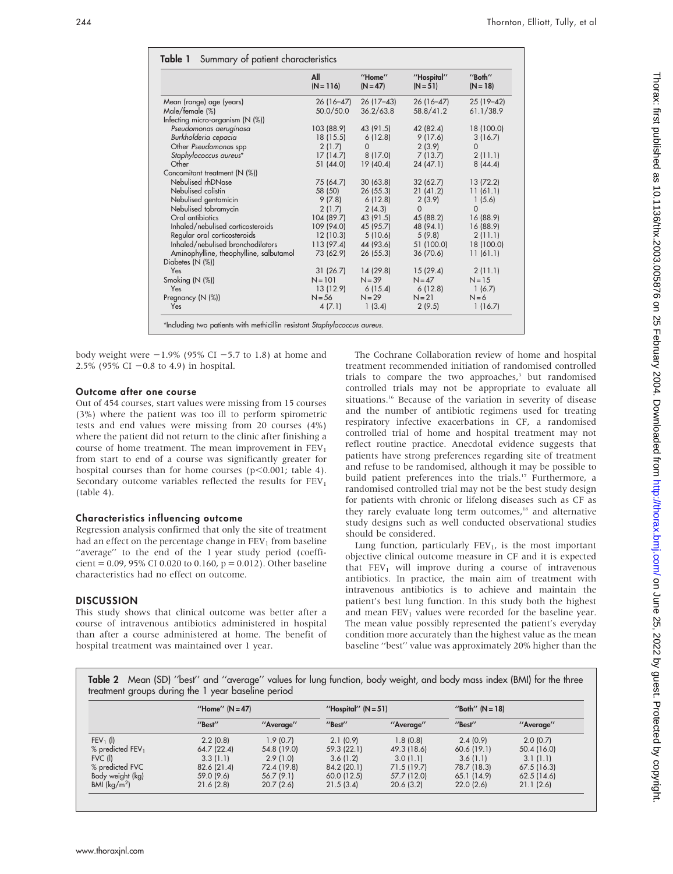|                                         | All<br>$(N = 116)$ | "Home"<br>$(N = 47)$ | "Hospital"<br>$(N = 51)$ | "Both"<br>$(N = 18)$ |
|-----------------------------------------|--------------------|----------------------|--------------------------|----------------------|
| Mean (range) age (years)                | 26 (16–47)         | $26(17-43)$          | $26(16-47)$              | 25 (19-42)           |
| Male/female (%)                         | 50.0/50.0          | 36.2/63.8            | 58.8/41.2                | 61.1/38.9            |
| Infecting micro-organism $(N \%)$       |                    |                      |                          |                      |
| Pseudomonas aeruginosa                  | 103 (88.9)         | 43 (91.5)            | 42 (82.4)                | 18 (100.0)           |
| Burkholderia cepacia                    | 18 (15.5)          | 6(12.8)              | 9(17.6)                  | 3(16.7)              |
| Other Pseudomonas spp                   | 2(1.7)             | 0                    | 2(3.9)                   | $\Omega$             |
| Staphylococcus aureus*                  | 17(14.7)           | 8(17.0)              | 7(13.7)                  | 2(11.1)              |
| Other                                   | 51(44.0)           | 19(40.4)             | 24(47.1)                 | 8(44.4)              |
| Concomitant treatment (N (%))           |                    |                      |                          |                      |
| Nebulised rhDNase                       | 75 (64.7)          | 30(63.8)             | 32(62.7)                 | 13 (72.2)            |
| Nebulised colistin                      | 58 (50)            | 26(55.3)             | 21(41.2)                 | 11(61.1)             |
| Nebulised gentamicin                    | 9(7.8)             | 6(12.8)              | 2(3.9)                   | 1(5.6)               |
| Nebulised tobramycin                    | 2(1.7)             | 2(4.3)               | $\Omega$                 | $\Omega$             |
| Oral antibiotics                        | 104 (89.7)         | 43 (91.5)            | 45 (88.2)                | 16 (88.9)            |
| Inhaled/nebulised corticosteroids       | 109 (94.0)         | 45 (95.7)            | 48 (94.1)                | 16 (88.9)            |
| Regular oral corticosteroids            | 12 (10.3)          | 5(10.6)              | 5(9.8)                   | 2(11.1)              |
| Inhaled/nebulised bronchodilators       | 113(97.4)          | 44 (93.6)            | 51 (100.0)               | 18 (100.0)           |
| Aminophylline, theophylline, salbutamol | 73 (62.9)          | 26(55.3)             | 36 (70.6)                | 11(61.1)             |
| Diabetes (N (%))                        |                    |                      |                          |                      |
| Yes                                     | 31(26.7)           | 14(29.8)             | 15(29.4)                 | 2(11.1)              |
| Smoking (N (%))                         | $N = 101$          | $N = 39$             | $N = 47$                 | $N = 15$             |
| Yes                                     | 13 (12.9)          | 6(15.4)              | 6(12.8)                  | 1(6.7)               |
| Pregnancy (N (%))                       | $N = 56$           | $N = 29$             | $N = 21$                 | $N=6$                |
| Yes                                     | 4(7.1)             | 1(3.4)               | 2(9.5)                   | 1(16.7)              |

body weight were  $-1.9\%$  (95% CI  $-5.7$  to 1.8) at home and 2.5% (95% CI  $-0.8$  to 4.9) in hospital.

#### Outcome after one course

Out of 454 courses, start values were missing from 15 courses (3%) where the patient was too ill to perform spirometric tests and end values were missing from 20 courses (4%) where the patient did not return to the clinic after finishing a course of home treatment. The mean improvement in  $FEV<sub>1</sub>$ from start to end of a course was significantly greater for hospital courses than for home courses ( $p$ <0.001; table 4). Secondary outcome variables reflected the results for  $FEV<sub>1</sub>$ (table 4).

# Characteristics influencing outcome

Regression analysis confirmed that only the site of treatment had an effect on the percentage change in  $FEV<sub>1</sub>$  from baseline "average" to the end of the 1 year study period (coefficient = 0.09, 95% CI 0.020 to 0.160,  $p = 0.012$ ). Other baseline characteristics had no effect on outcome.

# **DISCUSSION**

This study shows that clinical outcome was better after a course of intravenous antibiotics administered in hospital than after a course administered at home. The benefit of hospital treatment was maintained over 1 year.

The Cochrane Collaboration review of home and hospital treatment recommended initiation of randomised controlled trials to compare the two approaches,<sup>3</sup> but randomised controlled trials may not be appropriate to evaluate all situations.<sup>16</sup> Because of the variation in severity of disease and the number of antibiotic regimens used for treating respiratory infective exacerbations in CF, a randomised controlled trial of home and hospital treatment may not reflect routine practice. Anecdotal evidence suggests that patients have strong preferences regarding site of treatment and refuse to be randomised, although it may be possible to build patient preferences into the trials.<sup>17</sup> Furthermore, a randomised controlled trial may not be the best study design for patients with chronic or lifelong diseases such as CF as they rarely evaluate long term outcomes,<sup>18</sup> and alternative study designs such as well conducted observational studies should be considered.

Lung function, particularly  $FEV_1$ , is the most important objective clinical outcome measure in CF and it is expected that  $FEV<sub>1</sub>$  will improve during a course of intravenous antibiotics. In practice, the main aim of treatment with intravenous antibiotics is to achieve and maintain the patient's best lung function. In this study both the highest and mean  $FEV<sub>1</sub>$  values were recorded for the baseline year. The mean value possibly represented the patient's everyday condition more accurately than the highest value as the mean baseline ''best'' value was approximately 20% higher than the

Table 2 Mean (SD) ''best'' and ''average'' values for lung function, body weight, and body mass index (BMI) for the three treatment groups during the 1 year baseline period

|                                        | "Home" $(N=47)$ |             |             | "Hospital" $(N = 51)$ |             | "Both" $(N = 18)$ |  |
|----------------------------------------|-----------------|-------------|-------------|-----------------------|-------------|-------------------|--|
|                                        | "Best"          | "Average"   | "Best"      | "Average"             | "Best"      | "Average"         |  |
| $FEV_1$ (l)                            | 2.2(0.8)        | 1.9(0.7)    | 2.1(0.9)    | 1.8(0.8)              | 2.4(0.9)    | 2.0(0.7)          |  |
| $%$ predicted FEV <sub>1</sub>         | 64.7(22.4)      | 54.8 (19.0) | 59.3 (22.1) | 49.3 (18.6)           | 60.6(19.1)  | 50.4 (16.0)       |  |
| FVC (I)                                | 3.3(1.1)        | 2.9(1.0)    | 3.6(1.2)    | 3.0(1.1)              | 3.6(1.1)    | 3.1(1.1)          |  |
| % predicted FVC                        | 82.6 (21.4)     | 72.4 (19.8) | 84.2 (20.1) | 71.5 (19.7)           | 78.7 (18.3) | 67.5(16.3)        |  |
| Body weight (kg)                       | 59.0 (9.6)      | 56.7(9.1)   | 60.0 (12.5) | 57.7 (12.0)           | 65.1(14.9)  | 62.5(14.6)        |  |
| BMI ( $\frac{\text{kg}}{\text{m}^2}$ ) | 21.6(2.8)       | 20.7(2.6)   | 21.5(3.4)   | 20.6(3.2)             | 22.0(2.6)   | 21.1(2.6)         |  |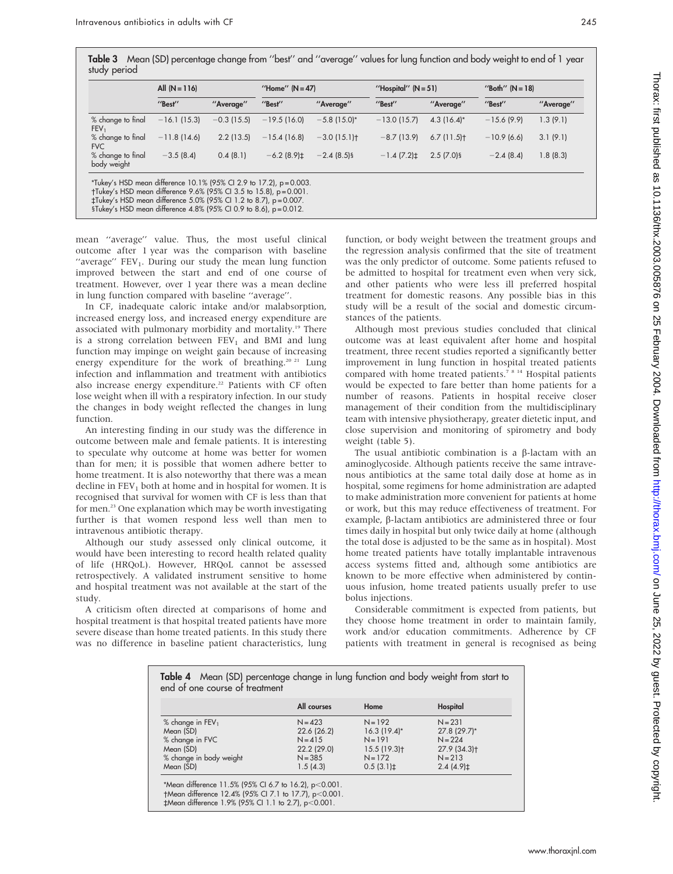Table 3 Mean (SD) percentage change from ''best'' and ''average'' values for lung function and body weight to end of 1 year study period

|                                       | All $(N = 116)$ |              | "Home" $(N = 47)$ |                | "Hospital" $(N = 51)$ |               | "Both" $(N = 18)$ |           |
|---------------------------------------|-----------------|--------------|-------------------|----------------|-----------------------|---------------|-------------------|-----------|
|                                       | "Best"          | "Average"    | "Best"            | "Average"      | "Best"                | "Average"     | "Best"            | "Average" |
| % change to final<br>FEV <sub>1</sub> | $-16.1(15.3)$   | $-0.3(15.5)$ | $-19.5(16.0)$     | $-5.8$ (15.0)* | $-13.0(15.7)$         | $4.3(16.4)$ * | $-15.6(9.9)$      | 1.3 (9.1) |
| % change to final<br><b>FVC</b>       | $-11.8(14.6)$   | 2.2(13.5)    | $-15.4(16.8)$     | $-3.0(15.1)$   | $-8.7(13.9)$          | 6.7(11.5)     | $-10.9(6.6)$      | 3.1(9.1)  |
| % change to final<br>body weight      | $-3.5(8.4)$     | 0.4(8.1)     | $-6.2(8.9)$ ±     | $-2.4(8.5)$ §  | $-1.4(7.2)$           | $2.5(7.0)$ §  | $-2.4(8.4)$       | 1.8(8.3)  |

mean ''average'' value. Thus, the most useful clinical outcome after 1 year was the comparison with baseline "average"  $FEV<sub>1</sub>$ . During our study the mean lung function improved between the start and end of one course of treatment. However, over 1 year there was a mean decline in lung function compared with baseline ''average''.

In CF, inadequate caloric intake and/or malabsorption, increased energy loss, and increased energy expenditure are associated with pulmonary morbidity and mortality.19 There is a strong correlation between  $FEV<sub>1</sub>$  and BMI and lung function may impinge on weight gain because of increasing energy expenditure for the work of breathing.<sup>20 21</sup> Lung infection and inflammation and treatment with antibiotics also increase energy expenditure.<sup>22</sup> Patients with CF often lose weight when ill with a respiratory infection. In our study the changes in body weight reflected the changes in lung function.

An interesting finding in our study was the difference in outcome between male and female patients. It is interesting to speculate why outcome at home was better for women than for men; it is possible that women adhere better to home treatment. It is also noteworthy that there was a mean decline in  $FEV<sub>1</sub>$  both at home and in hospital for women. It is recognised that survival for women with CF is less than that for men.23 One explanation which may be worth investigating further is that women respond less well than men to intravenous antibiotic therapy.

Although our study assessed only clinical outcome, it would have been interesting to record health related quality of life (HRQoL). However, HRQoL cannot be assessed retrospectively. A validated instrument sensitive to home and hospital treatment was not available at the start of the study.

A criticism often directed at comparisons of home and hospital treatment is that hospital treated patients have more severe disease than home treated patients. In this study there was no difference in baseline patient characteristics, lung

**Contractor** 

function, or body weight between the treatment groups and the regression analysis confirmed that the site of treatment was the only predictor of outcome. Some patients refused to be admitted to hospital for treatment even when very sick, and other patients who were less ill preferred hospital treatment for domestic reasons. Any possible bias in this study will be a result of the social and domestic circumstances of the patients.

Although most previous studies concluded that clinical outcome was at least equivalent after home and hospital treatment, three recent studies reported a significantly better improvement in lung function in hospital treated patients compared with home treated patients.<sup>7 8 14</sup> Hospital patients would be expected to fare better than home patients for a number of reasons. Patients in hospital receive closer management of their condition from the multidisciplinary team with intensive physiotherapy, greater dietetic input, and close supervision and monitoring of spirometry and body weight (table 5).

The usual antibiotic combination is a  $\beta$ -lactam with an aminoglycoside. Although patients receive the same intravenous antibiotics at the same total daily dose at home as in hospital, some regimens for home administration are adapted to make administration more convenient for patients at home or work, but this may reduce effectiveness of treatment. For example, β-lactam antibiotics are administered three or four times daily in hospital but only twice daily at home (although the total dose is adjusted to be the same as in hospital). Most home treated patients have totally implantable intravenous access systems fitted and, although some antibiotics are known to be more effective when administered by continuous infusion, home treated patients usually prefer to use bolus injections.

Considerable commitment is expected from patients, but they choose home treatment in order to maintain family, work and/or education commitments. Adherence by CF patients with treatment in general is recognised as being

|                                | All courses | Home           | Hospital                 |
|--------------------------------|-------------|----------------|--------------------------|
| $%$ change in FEV <sub>1</sub> | $N = 423$   | $N = 192$      | $N = 231$                |
| Mean (SD)                      | 22.6(26.2)  | $16.3(19.4)$ * | 27.8 (29.7)*             |
| % change in FVC                | $N = 415$   | $N = 191$      | $N = 224$                |
| Mean (SD)                      | 22.2 (29.0) | 15.5(19.3)     | 27.9 (34.3) <sup>+</sup> |
| % change in body weight        | $N = 385$   | $N = 172$      | $N = 213$                |
| Mean (SD)                      | 1.5(4.3)    | $0.5(3.1)$ ±   | $2.4(4.9)$ ±             |

 $\uparrow$ Mean difference 1.9% (95% CI 1.1 to 2.7), p<0.001.